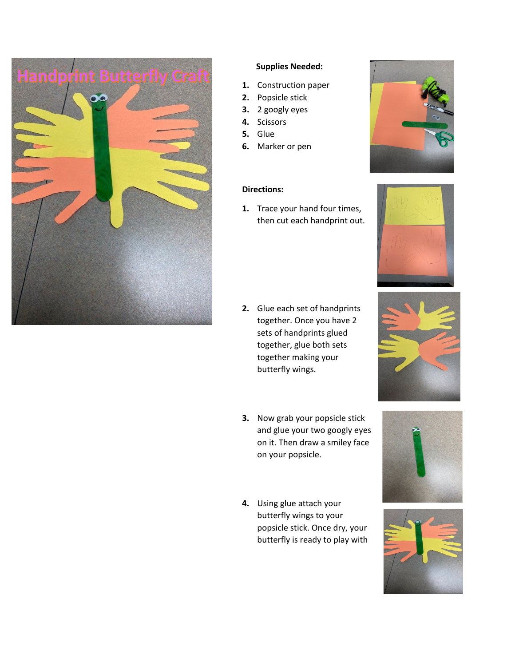

#### **Supplies Needed:**

- **1.** Construction paper
- **2.** Popsicle stick
- **3.** 2 googly eyes
- **4.** Scissors
- **5.** Glue
- **6.** Marker or pen

## **Directions:**

**1.** Trace your hand four times, then cut each handprint out.

- **2.** Glue each set of handprints together. Once you have 2 sets of handprints glued together, glue both sets together making your butterfly wings.
- **3.** Now grab your popsicle stick and glue your two googly eyes on it. Then draw a smiley face on your popsicle.
- **4.** Using glue attach your butterfly wings to your popsicle stick. Once dry, your butterfly is ready to play with









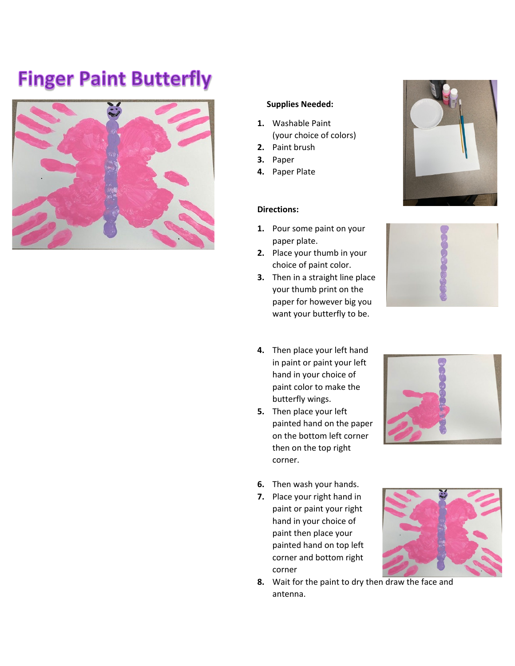# **Finger Paint Butterfly**



#### **Supplies Needed:**

- **1.** Washable Paint (your choice of colors)
- **2.** Paint brush
- **3.** Paper
- **4.** Paper Plate

#### **Directions:**

- **1.** Pour some paint on your paper plate.
- **2.** Place your thumb in your choice of paint color.
- **3.** Then in a straight line place your thumb print on the paper for however big you want your butterfly to be.
- **4.** Then place your left hand in paint or paint your left hand in your choice of paint color to make the butterfly wings.
- **5.** Then place your left painted hand on the paper on the bottom left corner then on the top right corner.



- **6.** Then wash your hands.
- **7.** Place your right hand in paint or paint your right hand in your choice of paint then place your painted hand on top left corner and bottom right corner



**8.** Wait for the paint to dry then draw the face and antenna.